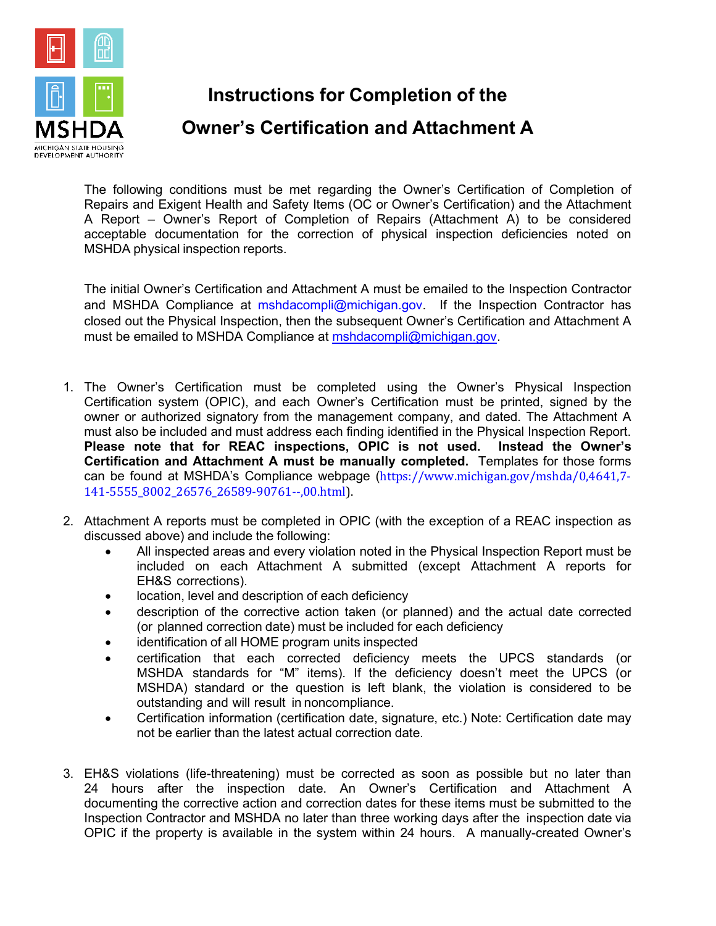

**Instructions for Completion of the Owner's Certification and Attachment A**

The following conditions must be met regarding the Owner's Certification of Completion of Repairs and Exigent Health and Safety Items (OC or Owner's Certification) and the Attachment A Report – Owner's Report of Completion of Repairs (Attachment A) to be considered acceptable documentation for the correction of physical inspection deficiencies noted on MSHDA physical inspection reports.

The initial Owner's Certification and Attachment A must be emailed to the Inspection Contractor and MSHDA Compliance at [mshdacompli@michigan.gov.](mailto:mshdacompli@michigan.gov) If the Inspection Contractor has closed out the Physical Inspection, then the subsequent Owner's Certification and Attachment A must be emailed to MSHDA Compliance at [mshdacompli@michigan.gov.](mailto:mshdacompli@michigan.gov)

- 1. The Owner's Certification must be completed using the Owner's Physical Inspection Certification system (OPIC), and each Owner's Certification must be printed, signed by the owner or authorized signatory from the management company, and dated. The Attachment A must also be included and must address each finding identified in the Physical Inspection Report. **Please note that for REAC inspections, OPIC is not used. Instead the Owner's Certification and Attachment A must be manually completed.** Templates for those forms can be found at MSHDA's Compliance webpage ([https://www.michigan.gov/mshda/0,4641,7-](https://www.michigan.gov/mshda/0,4641,7-141-5555_8002_26576_26589-90761--,00.html) [141-5555\\_8002\\_26576\\_26589-90761--,00.html\)](https://www.michigan.gov/mshda/0,4641,7-141-5555_8002_26576_26589-90761--,00.html).
- 2. Attachment A reports must be completed in OPIC (with the exception of a REAC inspection as discussed above) and include the following:
	- All inspected areas and every violation noted in the Physical Inspection Report must be included on each Attachment A submitted (except Attachment A reports for EH&S corrections).
	- location, level and description of each deficiency
	- description of the corrective action taken (or planned) and the actual date corrected (or planned correction date) must be included for each deficiency
	- identification of all HOME program units inspected
	- certification that each corrected deficiency meets the UPCS standards (or MSHDA standards for "M" items). If the deficiency doesn't meet the UPCS (or MSHDA) standard or the question is left blank, the violation is considered to be outstanding and will result in noncompliance.
	- Certification information (certification date, signature, etc.) Note: Certification date may not be earlier than the latest actual correction date.
- 3. EH&S violations (life-threatening) must be corrected as soon as possible but no later than 24 hours after the inspection date. An Owner's Certification and Attachment A documenting the corrective action and correction dates for these items must be submitted to the Inspection Contractor and MSHDA no later than three working days after the inspection date via OPIC if the property is available in the system within 24 hours. A manually-created Owner's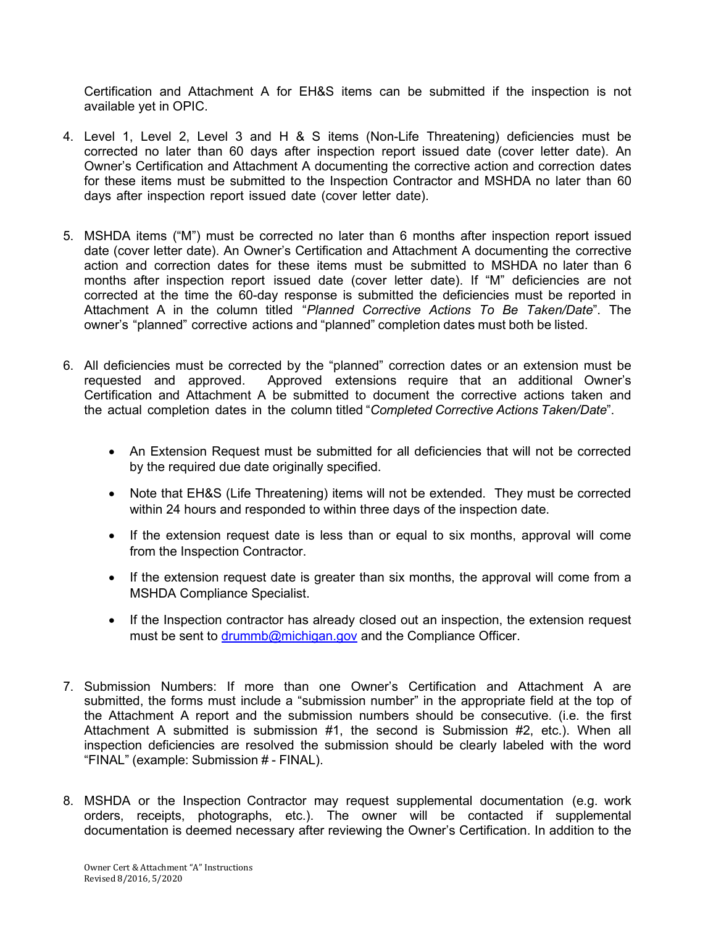Certification and Attachment A for EH&S items can be submitted if the inspection is not available yet in OPIC.

- 4. Level 1, Level 2, Level 3 and H & S items (Non-Life Threatening) deficiencies must be corrected no later than 60 days after inspection report issued date (cover letter date). An Owner's Certification and Attachment A documenting the corrective action and correction dates for these items must be submitted to the Inspection Contractor and MSHDA no later than 60 days after inspection report issued date (cover letter date).
- 5. MSHDA items ("M") must be corrected no later than 6 months after inspection report issued date (cover letter date). An Owner's Certification and Attachment A documenting the corrective action and correction dates for these items must be submitted to MSHDA no later than 6 months after inspection report issued date (cover letter date). If "M" deficiencies are not corrected at the time the 60-day response is submitted the deficiencies must be reported in Attachment A in the column titled "*Planned Corrective Actions To Be Taken/Date*". The owner's "planned" corrective actions and "planned" completion dates must both be listed.
- 6. All deficiencies must be corrected by the "planned" correction dates or an extension must be requested and approved. Approved extensions require that an additional Owner's Certification and Attachment A be submitted to document the corrective actions taken and the actual completion dates in the column titled "*Completed Corrective Actions Taken/Date*".
	- An Extension Request must be submitted for all deficiencies that will not be corrected by the required due date originally specified.
	- Note that EH&S (Life Threatening) items will not be extended. They must be corrected within 24 hours and responded to within three days of the inspection date.
	- If the extension request date is less than or equal to six months, approval will come from the Inspection Contractor.
	- If the extension request date is greater than six months, the approval will come from a MSHDA Compliance Specialist.
	- If the Inspection contractor has already closed out an inspection, the extension request must be sent to [drummb@michigan.gov](mailto:drummb@michigan.gov) and the Compliance Officer.
- 7. Submission Numbers: If more than one Owner's Certification and Attachment A are submitted, the forms must include a "submission number" in the appropriate field at the top of the Attachment A report and the submission numbers should be consecutive. (i.e. the first Attachment A submitted is submission #1, the second is Submission #2, etc.). When all inspection deficiencies are resolved the submission should be clearly labeled with the word "FINAL" (example: Submission # - FINAL).
- 8. MSHDA or the Inspection Contractor may request supplemental documentation (e.g. work orders, receipts, photographs, etc.). The owner will be contacted if supplemental documentation is deemed necessary after reviewing the Owner's Certification. In addition to the